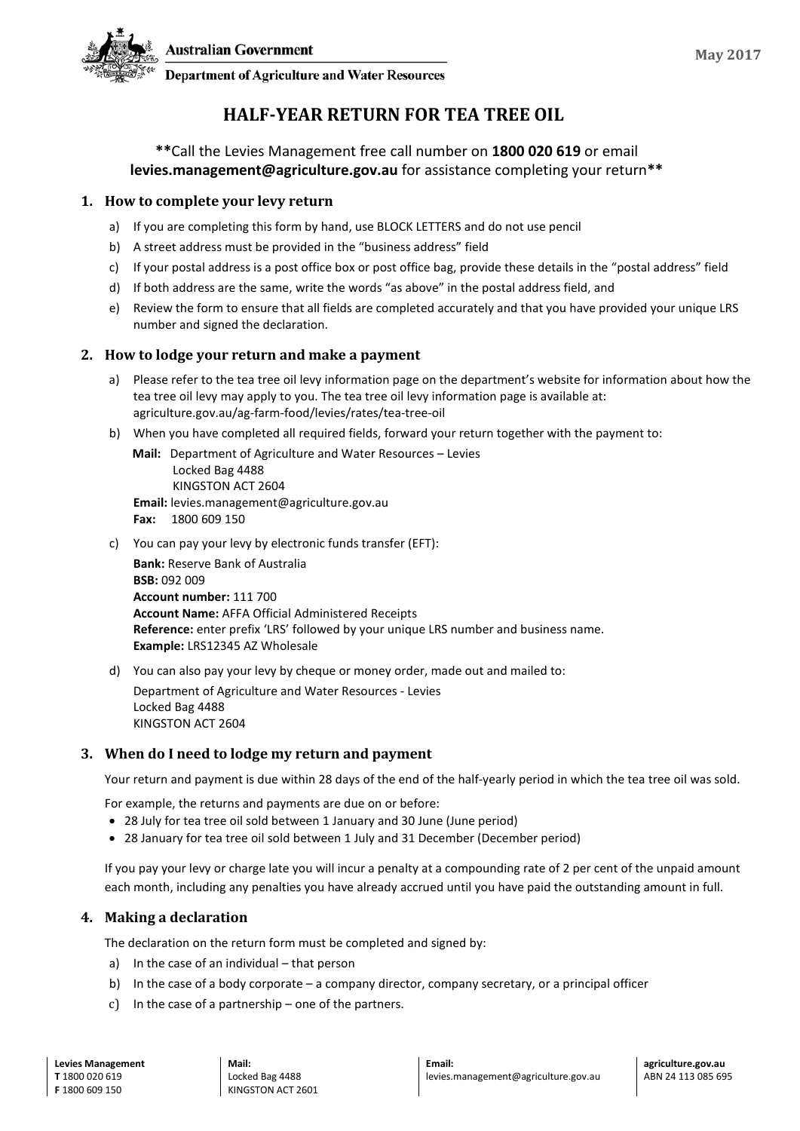**Department of Agriculture and Water Resources** 

# **HALF-YEAR RETURN FOR TEA TREE OIL**

# **\*\***Call the Levies Management free call number on **1800 020 619** or email **levies.management@agriculture.gov.au** for assistance completing your return**\*\***

### **1. How to complete your levy return**

- a) If you are completing this form by hand, use BLOCK LETTERS and do not use pencil
- b) A street address must be provided in the "business address" field
- c) If your postal address is a post office box or post office bag, provide these details in the "postal address" field
- d) If both address are the same, write the words "as above" in the postal address field, and
- e) Review the form to ensure that all fields are completed accurately and that you have provided your unique LRS number and signed the declaration.

### **2. How to lodge your return and make a payment**

- a) Please refer to the tea tree oil levy information page on the department's website for information about how the tea tree oil levy may apply to you. The tea tree oil levy information page is available at: agriculture.gov.au/ag-farm-food/levies/rates/tea-tree-oil
- b) When you have completed all required fields, forward your return together with the payment to:

**Mail:** Department of Agriculture and Water Resources – Levies Locked Bag 4488 KINGSTON ACT 2604 **Email:** levies.management@agriculture.gov.au **Fax:** 1800 609 150

c) You can pay your levy by electronic funds transfer (EFT):

**Bank:** Reserve Bank of Australia **BSB:** 092 009 **Account number:** 111 700 **Account Name:** AFFA Official Administered Receipts **Reference:** enter prefix 'LRS' followed by your unique LRS number and business name. **Example:** LRS12345 AZ Wholesale

d) You can also pay your levy by cheque or money order, made out and mailed to:

Department of Agriculture and Water Resources - Levies Locked Bag 4488 KINGSTON ACT 2604

# **3. When do I need to lodge my return and payment**

Your return and payment is due within 28 days of the end of the half-yearly period in which the tea tree oil was sold.

For example, the returns and payments are due on or before:

- 28 July for tea tree oil sold between 1 January and 30 June (June period)
- 28 January for tea tree oil sold between 1 July and 31 December (December period)

If you pay your levy or charge late you will incur a penalty at a compounding rate of 2 per cent of the unpaid amount each month, including any penalties you have already accrued until you have paid the outstanding amount in full.

# **4. Making a declaration**

The declaration on the return form must be completed and signed by:

- a) In the case of an individual that person
- b) In the case of a body corporate a company director, company secretary, or a principal officer
- c) In the case of a partnership one of the partners.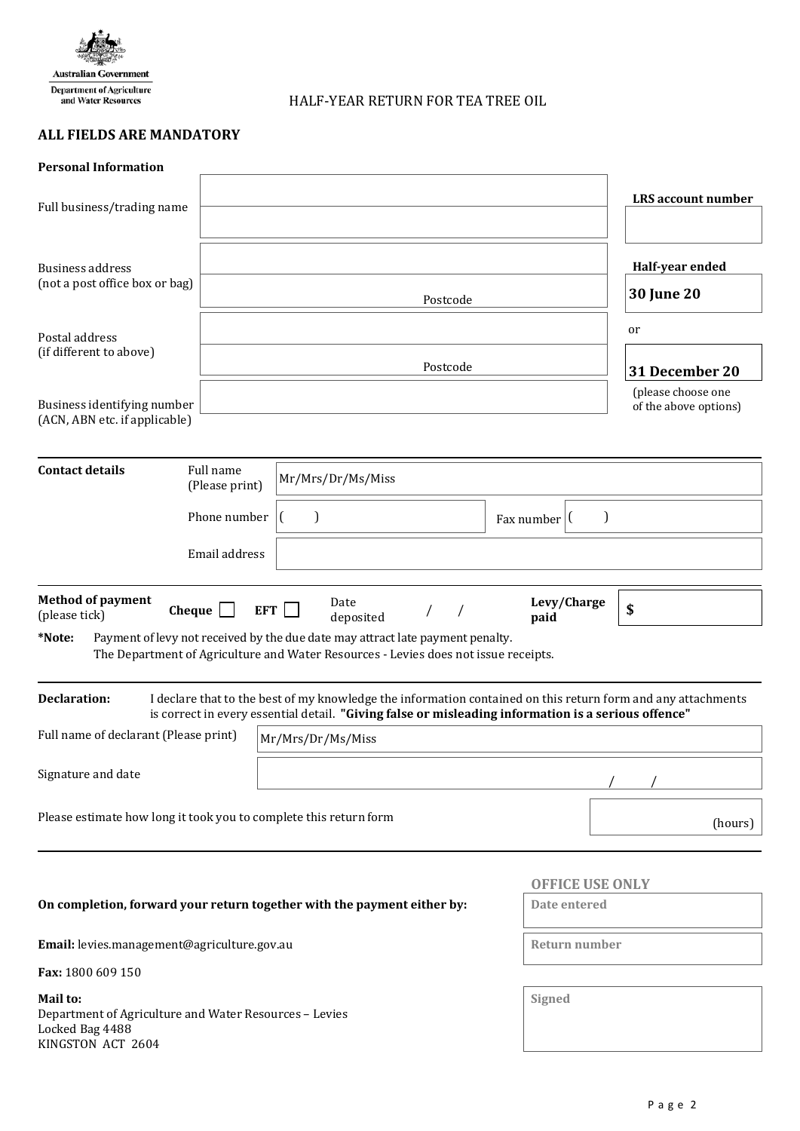

HALF-YEAR RETURN FOR TEA TREE OIL

# **ALL FIELDS ARE MANDATORY**

| <b>Personal Information</b>                                                                                          |                             |                                                                                                                                                                                                                     |                                      |                                             |  |
|----------------------------------------------------------------------------------------------------------------------|-----------------------------|---------------------------------------------------------------------------------------------------------------------------------------------------------------------------------------------------------------------|--------------------------------------|---------------------------------------------|--|
| Full business/trading name                                                                                           |                             |                                                                                                                                                                                                                     |                                      | <b>LRS</b> account number                   |  |
| <b>Business address</b><br>(not a post office box or bag)                                                            |                             | Postcode                                                                                                                                                                                                            | Half-year ended<br><b>30 June 20</b> |                                             |  |
| Postal address<br>(if different to above)                                                                            |                             | Postcode                                                                                                                                                                                                            | or<br>31 December 20                 |                                             |  |
| Business identifying number<br>(ACN, ABN etc. if applicable)                                                         |                             |                                                                                                                                                                                                                     |                                      | (please choose one<br>of the above options) |  |
| <b>Contact details</b>                                                                                               | Full name<br>(Please print) | Mr/Mrs/Dr/Ms/Miss                                                                                                                                                                                                   |                                      |                                             |  |
| Phone number                                                                                                         |                             | $\mathcal{L}$                                                                                                                                                                                                       | Fax number $ $ (                     | J                                           |  |
|                                                                                                                      | Email address               |                                                                                                                                                                                                                     |                                      |                                             |  |
| <b>Method of payment</b><br>Levy/Charge<br>Date<br>Cheque<br>EFT  <br>$\prime$<br>(please tick)<br>deposited<br>paid |                             |                                                                                                                                                                                                                     |                                      | \$                                          |  |
| *Note:                                                                                                               |                             | Payment of levy not received by the due date may attract late payment penalty.<br>The Department of Agriculture and Water Resources - Levies does not issue receipts.                                               |                                      |                                             |  |
| <b>Declaration:</b>                                                                                                  |                             | I declare that to the best of my knowledge the information contained on this return form and any attachments<br>is correct in every essential detail. "Giving false or misleading information is a serious offence" |                                      |                                             |  |
| Full name of declarant (Please print)                                                                                |                             | Mr/Mrs/Dr/Ms/Miss                                                                                                                                                                                                   |                                      |                                             |  |
| Signature and date                                                                                                   |                             |                                                                                                                                                                                                                     |                                      |                                             |  |
| Please estimate how long it took you to complete this return form                                                    |                             | (hours)                                                                                                                                                                                                             |                                      |                                             |  |
|                                                                                                                      |                             |                                                                                                                                                                                                                     | <b>OFFICE USE ONLY</b>               |                                             |  |
| On completion, forward your return together with the payment either by:                                              | Date entered                |                                                                                                                                                                                                                     |                                      |                                             |  |
| Email: levies.management@agriculture.gov.au                                                                          |                             |                                                                                                                                                                                                                     |                                      | Return number                               |  |
| Fax: 1800 609 150                                                                                                    |                             |                                                                                                                                                                                                                     |                                      |                                             |  |
| Mail to:<br>Department of Agriculture and Water Resources - Levies<br>Locked Bag 4488<br>KINGSTON ACT 2604           | Signed                      |                                                                                                                                                                                                                     |                                      |                                             |  |